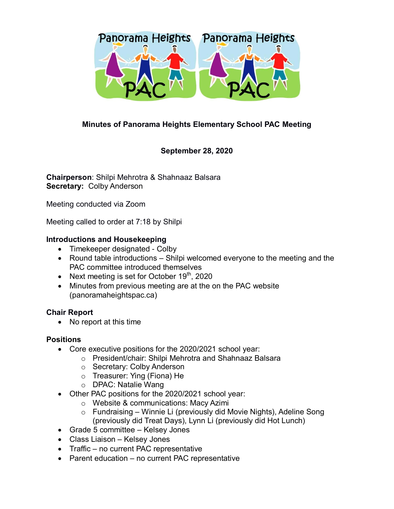

# **Minutes of Panorama Heights Elementary School PAC Meeting**

## **September 28, 2020**

**Chairperson**: Shilpi Mehrotra & Shahnaaz Balsara **Secretary:** Colby Anderson

Meeting conducted via Zoom

Meeting called to order at 7:18 by Shilpi

### **Introductions and Housekeeping**

- Timekeeper designated Colby
- Round table introductions Shilpi welcomed everyone to the meeting and the PAC committee introduced themselves
- Next meeting is set for October  $19<sup>th</sup>$ , 2020
- Minutes from previous meeting are at the on the PAC website (panoramaheightspac.ca)

## **Chair Report**

• No report at this time

#### **Positions**

- Core executive positions for the 2020/2021 school year:
	- o President/chair: Shilpi Mehrotra and Shahnaaz Balsara
		- o Secretary: Colby Anderson
		- o Treasurer: Ying (Fiona) He
		- o DPAC: Natalie Wang
- Other PAC positions for the 2020/2021 school year:
	- o Website & communications: Macy Azimi
	- o Fundraising Winnie Li (previously did Movie Nights), Adeline Song (previously did Treat Days), Lynn Li (previously did Hot Lunch)
- Grade 5 committee Kelsey Jones
- Class Liaison Kelsey Jones
- Traffic no current PAC representative
- Parent education no current PAC representative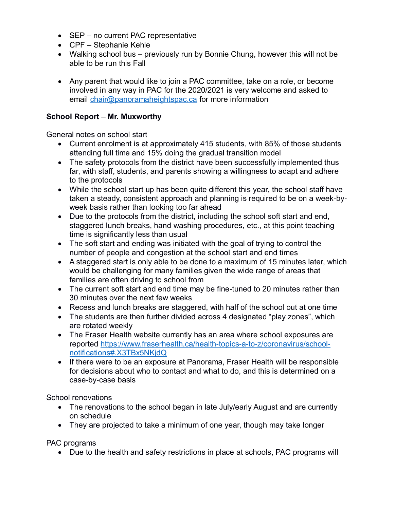- SEP no current PAC representative
- CPF Stephanie Kehle
- Walking school bus previously run by Bonnie Chung, however this will not be able to be run this Fall
- Any parent that would like to join a PAC committee, take on a role, or become involved in any way in PAC for the 2020/2021 is very welcome and asked to email [chair@panoramaheightspac.ca](mailto:chair@panoramaheightspac.ca) for more information

## **School Report** – **Mr. Muxworthy**

General notes on school start

- Current enrolment is at approximately 415 students, with 85% of those students attending full time and 15% doing the gradual transition model
- The safety protocols from the district have been successfully implemented thus far, with staff, students, and parents showing a willingness to adapt and adhere to the protocols
- While the school start up has been quite different this year, the school staff have taken a steady, consistent approach and planning is required to be on a week-byweek basis rather than looking too far ahead
- Due to the protocols from the district, including the school soft start and end, staggered lunch breaks, hand washing procedures, etc., at this point teaching time is significantly less than usual
- The soft start and ending was initiated with the goal of trying to control the number of people and congestion at the school start and end times
- A staggered start is only able to be done to a maximum of 15 minutes later, which would be challenging for many families given the wide range of areas that families are often driving to school from
- The current soft start and end time may be fine-tuned to 20 minutes rather than 30 minutes over the next few weeks
- Recess and lunch breaks are staggered, with half of the school out at one time
- The students are then further divided across 4 designated "play zones", which are rotated weekly
- The Fraser Health website currently has an area where school exposures are reported [https://www.fraserhealth.ca/health-topics-a-to-z/coronavirus/school](https://www.fraserhealth.ca/health-topics-a-to-z/coronavirus/school-notifications#.X3TBx5NKjdQ)[notifications#.X3TBx5NKjdQ](https://www.fraserhealth.ca/health-topics-a-to-z/coronavirus/school-notifications#.X3TBx5NKjdQ)
- If there were to be an exposure at Panorama, Fraser Health will be responsible for decisions about who to contact and what to do, and this is determined on a case-by-case basis

School renovations

- The renovations to the school began in late July/early August and are currently on schedule
- They are projected to take a minimum of one year, though may take longer

PAC programs

• Due to the health and safety restrictions in place at schools, PAC programs will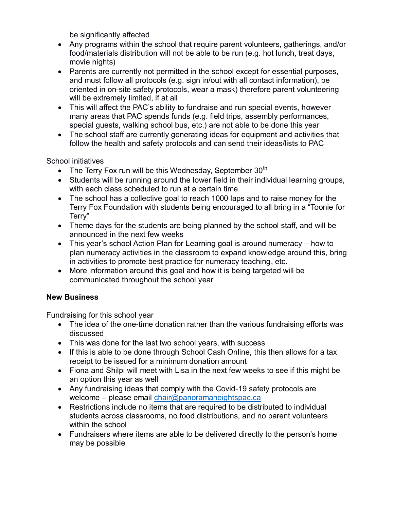be significantly affected

- Any programs within the school that require parent volunteers, gatherings, and/or food/materials distribution will not be able to be run (e.g. hot lunch, treat days, movie nights)
- Parents are currently not permitted in the school except for essential purposes, and must follow all protocols (e.g. sign in/out with all contact information), be oriented in on-site safety protocols, wear a mask) therefore parent volunteering will be extremely limited, if at all
- This will affect the PAC's ability to fundraise and run special events, however many areas that PAC spends funds (e.g. field trips, assembly performances, special guests, walking school bus, etc.) are not able to be done this year
- The school staff are currently generating ideas for equipment and activities that follow the health and safety protocols and can send their ideas/lists to PAC

## School initiatives

- The Terry Fox run will be this Wednesday, September  $30<sup>th</sup>$
- Students will be running around the lower field in their individual learning groups, with each class scheduled to run at a certain time
- The school has a collective goal to reach 1000 laps and to raise money for the Terry Fox Foundation with students being encouraged to all bring in a "Toonie for Terry"
- Theme days for the students are being planned by the school staff, and will be announced in the next few weeks
- This year's school Action Plan for Learning goal is around numeracy how to plan numeracy activities in the classroom to expand knowledge around this, bring in activities to promote best practice for numeracy teaching, etc.
- More information around this goal and how it is being targeted will be communicated throughout the school year

# **New Business**

Fundraising for this school year

- The idea of the one-time donation rather than the various fundraising efforts was discussed
- This was done for the last two school years, with success
- If this is able to be done through School Cash Online, this then allows for a tax receipt to be issued for a minimum donation amount
- Fiona and Shilpi will meet with Lisa in the next few weeks to see if this might be an option this year as well
- Any fundraising ideas that comply with the Covid-19 safety protocols are welcome – please email [chair@panoramaheightspac.ca](mailto:chair@panoramaheightspac.ca)
- Restrictions include no items that are required to be distributed to individual students across classrooms, no food distributions, and no parent volunteers within the school
- Fundraisers where items are able to be delivered directly to the person's home may be possible